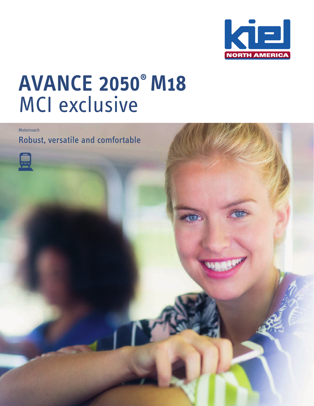

## **AVANCE 2050® M18** MCI exclusive

**Motorcoach** 

Robust, versatile and comfortable